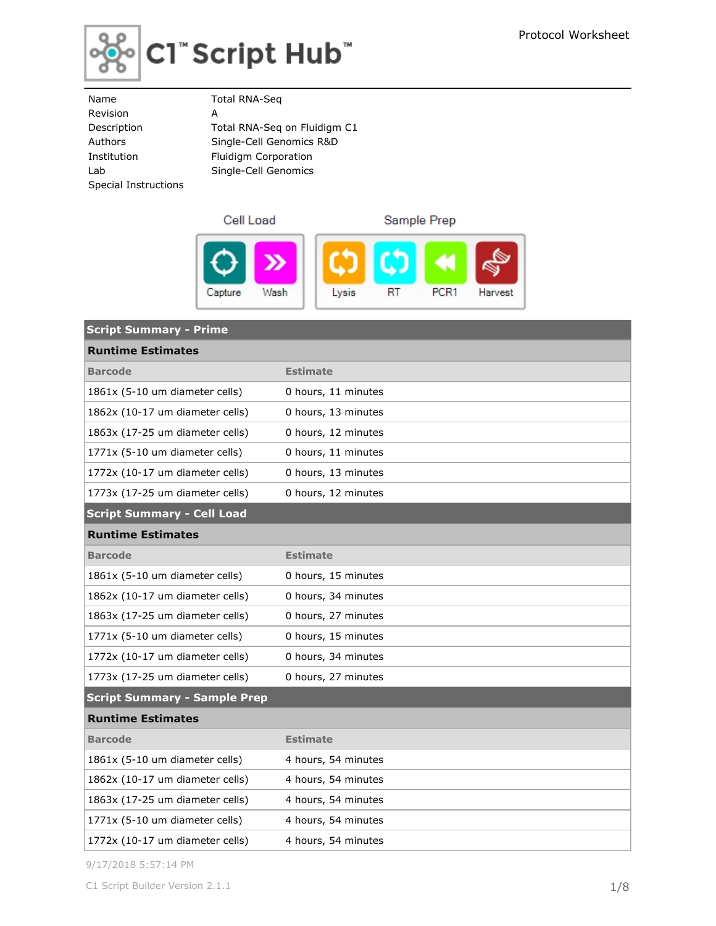

# $|$ C1" Script Hub"

| Name                 | <b>Total RNA-Seg</b>         |
|----------------------|------------------------------|
| Revision             | А                            |
| Description          | Total RNA-Seg on Fluidigm C1 |
| Authors              | Single-Cell Genomics R&D     |
| Institution          | Fluidigm Corporation         |
| Lab                  | Single-Cell Genomics         |
| Special Instructions |                              |
|                      |                              |



| <b>Script Summary - Prime</b>       |                     |
|-------------------------------------|---------------------|
| <b>Runtime Estimates</b>            |                     |
| <b>Barcode</b>                      | <b>Estimate</b>     |
| 1861x (5-10 um diameter cells)      | 0 hours, 11 minutes |
| 1862x (10-17 um diameter cells)     | 0 hours, 13 minutes |
| 1863x (17-25 um diameter cells)     | 0 hours, 12 minutes |
| 1771x (5-10 um diameter cells)      | 0 hours, 11 minutes |
| 1772x (10-17 um diameter cells)     | 0 hours, 13 minutes |
| 1773x (17-25 um diameter cells)     | 0 hours, 12 minutes |
| <b>Script Summary - Cell Load</b>   |                     |
| <b>Runtime Estimates</b>            |                     |
| <b>Barcode</b>                      | <b>Estimate</b>     |
| 1861x (5-10 um diameter cells)      | 0 hours, 15 minutes |
| 1862x (10-17 um diameter cells)     | 0 hours, 34 minutes |
| 1863x (17-25 um diameter cells)     | 0 hours, 27 minutes |
| 1771x (5-10 um diameter cells)      | 0 hours, 15 minutes |
| 1772x (10-17 um diameter cells)     | 0 hours, 34 minutes |
| 1773x (17-25 um diameter cells)     | 0 hours, 27 minutes |
| <b>Script Summary - Sample Prep</b> |                     |
| <b>Runtime Estimates</b>            |                     |
| <b>Barcode</b>                      | <b>Estimate</b>     |
| 1861x (5-10 um diameter cells)      | 4 hours, 54 minutes |
| 1862x (10-17 um diameter cells)     | 4 hours, 54 minutes |
| 1863x (17-25 um diameter cells)     | 4 hours, 54 minutes |
| 1771x (5-10 um diameter cells)      | 4 hours, 54 minutes |
| 1772x (10-17 um diameter cells)     | 4 hours, 54 minutes |

9/17/2018 5:57:14 PM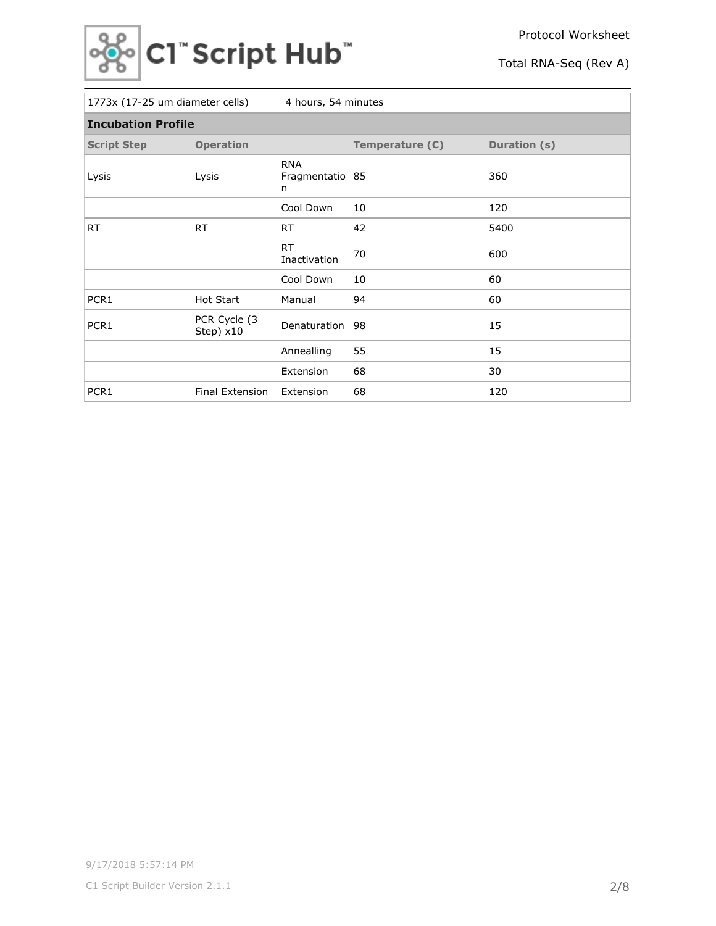

| 1773x (17-25 um diameter cells)<br>4 hours, 54 minutes |                            |                                    |                 |              |  |  |  |
|--------------------------------------------------------|----------------------------|------------------------------------|-----------------|--------------|--|--|--|
| <b>Incubation Profile</b>                              |                            |                                    |                 |              |  |  |  |
| <b>Script Step</b>                                     | <b>Operation</b>           |                                    | Temperature (C) | Duration (s) |  |  |  |
| Lysis                                                  | Lysis                      | <b>RNA</b><br>Fragmentatio 85<br>n |                 | 360          |  |  |  |
|                                                        |                            | Cool Down                          | 10              | 120          |  |  |  |
| <b>RT</b>                                              | <b>RT</b>                  | RT.                                | 42              | 5400         |  |  |  |
|                                                        |                            | <b>RT</b><br>Inactivation          | 70              | 600          |  |  |  |
|                                                        |                            | Cool Down                          | 10              | 60           |  |  |  |
| PCR1                                                   | <b>Hot Start</b>           | Manual                             | 94              | 60           |  |  |  |
| PCR1                                                   | PCR Cycle (3)<br>Step) x10 | Denaturation                       | 98              | 15           |  |  |  |
|                                                        |                            | Annealling                         | 55              | 15           |  |  |  |
|                                                        |                            | Extension                          | 68              | 30           |  |  |  |
| PCR1                                                   | Final Extension            | Extension                          | 68              | 120          |  |  |  |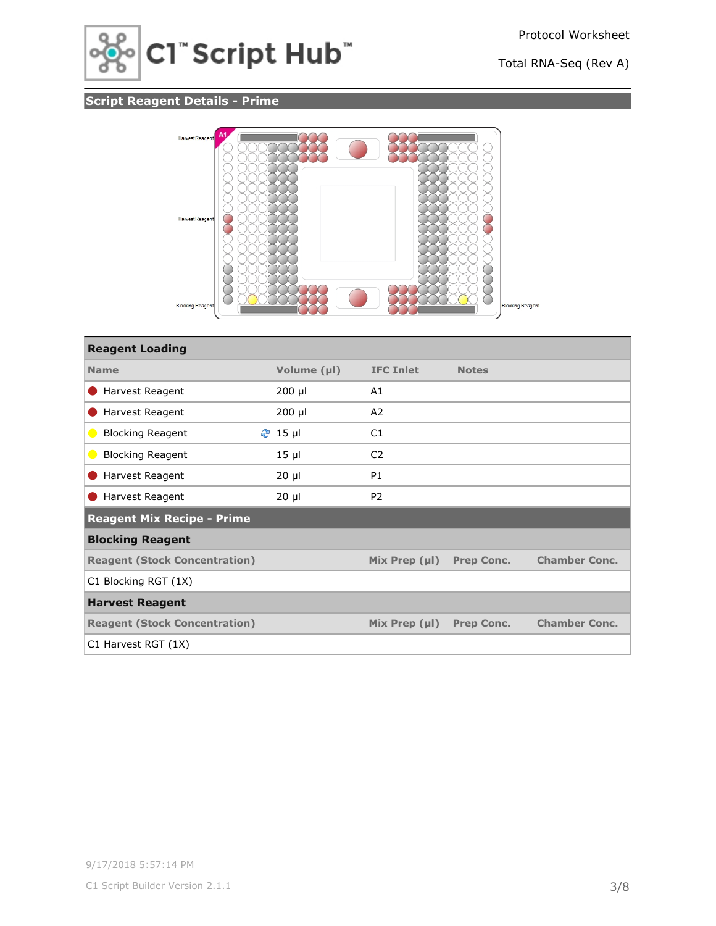

## **Script Reagent Details - Prime**



| <b>Reagent Loading</b>               |                |                    |                   |                      |
|--------------------------------------|----------------|--------------------|-------------------|----------------------|
| <b>Name</b>                          | Volume (µl)    | <b>IFC Inlet</b>   | <b>Notes</b>      |                      |
| Harvest Reagent                      | $200$ µl       | A1                 |                   |                      |
| Harvest Reagent                      | $200$ µl       | A2                 |                   |                      |
| <b>Blocking Reagent</b><br>$\bullet$ | <b>֎</b> 15 µl | C1                 |                   |                      |
| <b>Blocking Reagent</b><br>$\bullet$ | $15 \mu$       | C <sub>2</sub>     |                   |                      |
| Harvest Reagent                      | $20 \mu$       | <b>P1</b>          |                   |                      |
| Harvest Reagent                      | $20 \mu$       | P <sub>2</sub>     |                   |                      |
| Reagent Mix Recipe - Prime           |                |                    |                   |                      |
| <b>Blocking Reagent</b>              |                |                    |                   |                      |
| <b>Reagent (Stock Concentration)</b> |                | Mix Prep $(\mu I)$ | <b>Prep Conc.</b> | <b>Chamber Conc.</b> |
| C1 Blocking RGT (1X)                 |                |                    |                   |                      |
| <b>Harvest Reagent</b>               |                |                    |                   |                      |
| <b>Reagent (Stock Concentration)</b> |                | Mix Prep $(\mu I)$ | <b>Prep Conc.</b> | <b>Chamber Conc.</b> |
| C1 Harvest RGT (1X)                  |                |                    |                   |                      |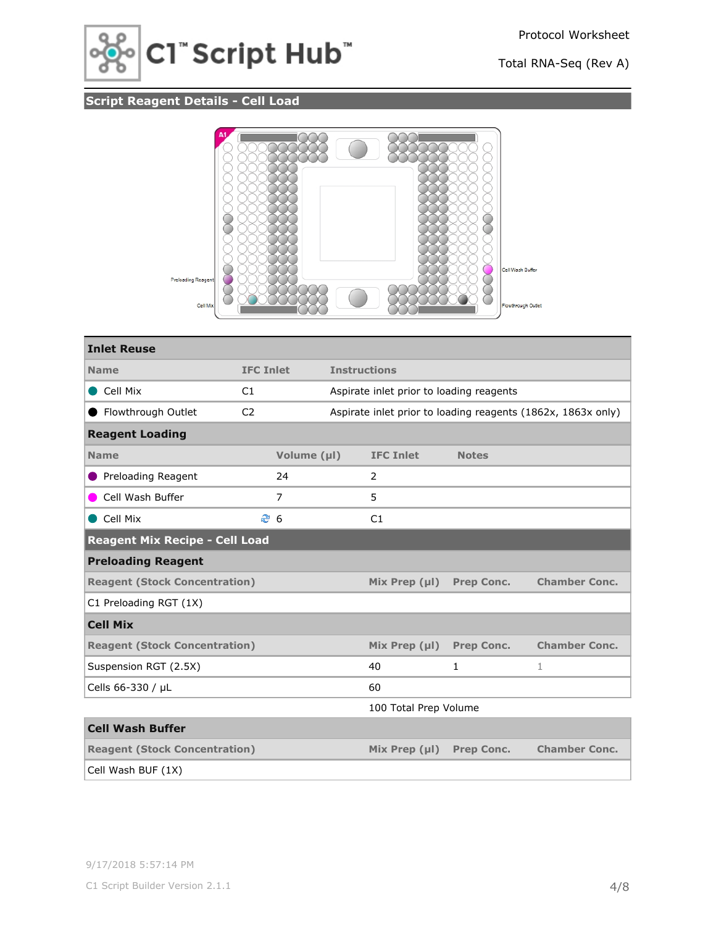

## **Script Reagent Details - Cell Load**



| <b>Inlet Reuse</b>                    |                  |             |                                          |                       |                   |                                                              |  |
|---------------------------------------|------------------|-------------|------------------------------------------|-----------------------|-------------------|--------------------------------------------------------------|--|
| <b>Name</b>                           | <b>IFC Inlet</b> |             | <b>Instructions</b>                      |                       |                   |                                                              |  |
| Cell Mix                              | C1               |             | Aspirate inlet prior to loading reagents |                       |                   |                                                              |  |
| Flowthrough Outlet                    | C <sub>2</sub>   |             |                                          |                       |                   | Aspirate inlet prior to loading reagents (1862x, 1863x only) |  |
| <b>Reagent Loading</b>                |                  |             |                                          |                       |                   |                                                              |  |
| <b>Name</b>                           |                  | Volume (µl) |                                          | <b>IFC Inlet</b>      | <b>Notes</b>      |                                                              |  |
| Preloading Reagent                    |                  | 24          |                                          | $\mathcal{P}$         |                   |                                                              |  |
| Cell Wash Buffer                      |                  | 7           |                                          | 5                     |                   |                                                              |  |
| Cell Mix                              |                  | ී 6         |                                          | C1                    |                   |                                                              |  |
| <b>Reagent Mix Recipe - Cell Load</b> |                  |             |                                          |                       |                   |                                                              |  |
| <b>Preloading Reagent</b>             |                  |             |                                          |                       |                   |                                                              |  |
| <b>Reagent (Stock Concentration)</b>  |                  |             |                                          | Mix Prep $(\mu I)$    | <b>Prep Conc.</b> | <b>Chamber Conc.</b>                                         |  |
| C1 Preloading RGT (1X)                |                  |             |                                          |                       |                   |                                                              |  |
| <b>Cell Mix</b>                       |                  |             |                                          |                       |                   |                                                              |  |
| <b>Reagent (Stock Concentration)</b>  |                  |             |                                          | Mix Prep $(\mu I)$    | <b>Prep Conc.</b> | <b>Chamber Conc.</b>                                         |  |
| Suspension RGT (2.5X)                 |                  |             |                                          | 40                    | $\mathbf{1}$      | 1                                                            |  |
| Cells 66-330 / µL                     |                  |             |                                          | 60                    |                   |                                                              |  |
|                                       |                  |             |                                          | 100 Total Prep Volume |                   |                                                              |  |
| <b>Cell Wash Buffer</b>               |                  |             |                                          |                       |                   |                                                              |  |
| <b>Reagent (Stock Concentration)</b>  |                  |             |                                          | Mix Prep $(\mu I)$    | <b>Prep Conc.</b> | <b>Chamber Conc.</b>                                         |  |
| Cell Wash BUF (1X)                    |                  |             |                                          |                       |                   |                                                              |  |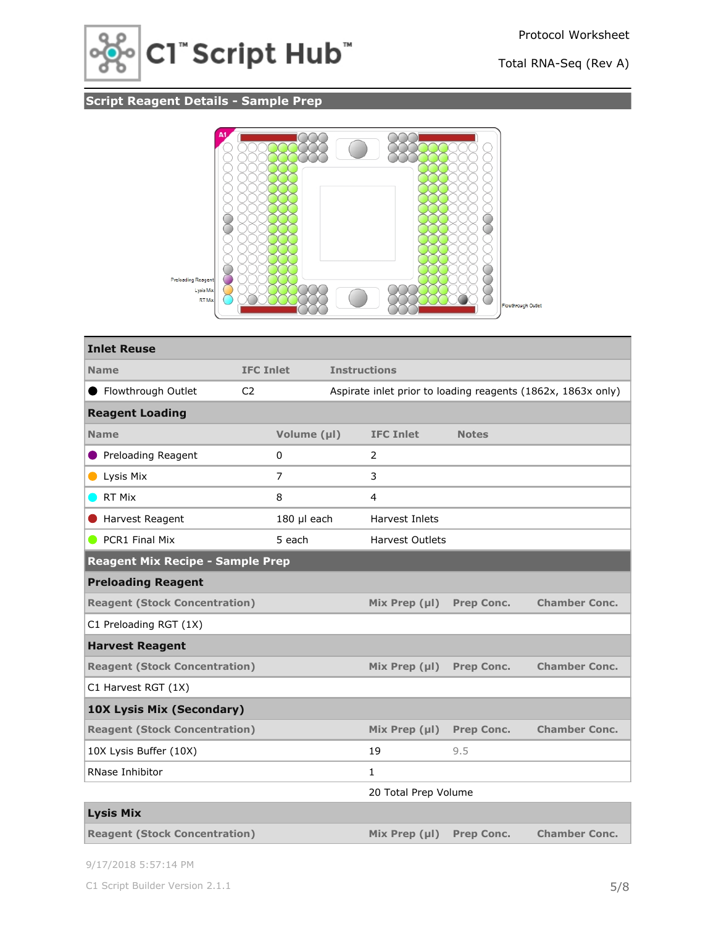

## **Script Reagent Details - Sample Prep**



| <b>Inlet Reuse</b>                      |                  |              |                     |                        |                   |                                                              |
|-----------------------------------------|------------------|--------------|---------------------|------------------------|-------------------|--------------------------------------------------------------|
| <b>Name</b>                             | <b>IFC Inlet</b> |              | <b>Instructions</b> |                        |                   |                                                              |
| ● Flowthrough Outlet                    | C <sub>2</sub>   |              |                     |                        |                   | Aspirate inlet prior to loading reagents (1862x, 1863x only) |
| <b>Reagent Loading</b>                  |                  |              |                     |                        |                   |                                                              |
| <b>Name</b>                             |                  | Volume (µl)  |                     | <b>IFC Inlet</b>       | <b>Notes</b>      |                                                              |
| Preloading Reagent                      |                  | $\mathbf{0}$ |                     | 2                      |                   |                                                              |
| Lysis Mix                               |                  | 7            |                     | 3                      |                   |                                                              |
| RT Mix                                  |                  | 8            |                     | 4                      |                   |                                                              |
| Harvest Reagent                         |                  | 180 µl each  |                     | Harvest Inlets         |                   |                                                              |
| PCR1 Final Mix                          |                  | 5 each       |                     | <b>Harvest Outlets</b> |                   |                                                              |
| <b>Reagent Mix Recipe - Sample Prep</b> |                  |              |                     |                        |                   |                                                              |
| <b>Preloading Reagent</b>               |                  |              |                     |                        |                   |                                                              |
| <b>Reagent (Stock Concentration)</b>    |                  |              |                     | Mix Prep $(\mu I)$     | <b>Prep Conc.</b> | <b>Chamber Conc.</b>                                         |
| C1 Preloading RGT (1X)                  |                  |              |                     |                        |                   |                                                              |
| <b>Harvest Reagent</b>                  |                  |              |                     |                        |                   |                                                              |
| <b>Reagent (Stock Concentration)</b>    |                  |              |                     | Mix Prep $(\mu I)$     | <b>Prep Conc.</b> | <b>Chamber Conc.</b>                                         |
| C1 Harvest RGT (1X)                     |                  |              |                     |                        |                   |                                                              |
| <b>10X Lysis Mix (Secondary)</b>        |                  |              |                     |                        |                   |                                                              |
| <b>Reagent (Stock Concentration)</b>    |                  |              |                     | Mix Prep $(\mu I)$     | <b>Prep Conc.</b> | <b>Chamber Conc.</b>                                         |
| 10X Lysis Buffer (10X)                  |                  |              |                     | 19                     | 9.5               |                                                              |
| RNase Inhibitor                         |                  |              |                     | 1                      |                   |                                                              |
|                                         |                  |              |                     | 20 Total Prep Volume   |                   |                                                              |
| <b>Lysis Mix</b>                        |                  |              |                     |                        |                   |                                                              |
| <b>Reagent (Stock Concentration)</b>    |                  |              |                     | Mix Prep $(\mu I)$     | <b>Prep Conc.</b> | <b>Chamber Conc.</b>                                         |

9/17/2018 5:57:14 PM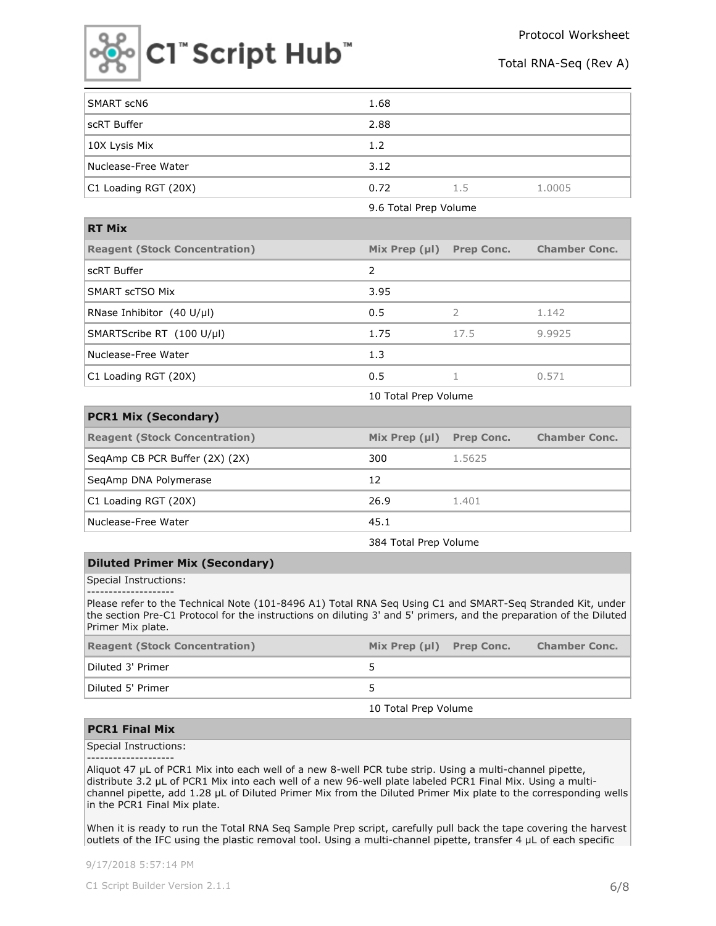



| SMART scN6           | 1.68 |     |        |
|----------------------|------|-----|--------|
| scRT Buffer          | 2.88 |     |        |
| 10X Lysis Mix        | 1.2  |     |        |
| Nuclease-Free Water  | 3.12 |     |        |
| C1 Loading RGT (20X) | 0.72 | 1.5 | 1.0005 |

9.6 Total Prep Volume

| <b>RT Mix</b>                                |                    |                   |                      |
|----------------------------------------------|--------------------|-------------------|----------------------|
| <b>Reagent (Stock Concentration)</b>         | Mix Prep $(\mu I)$ | <b>Prep Conc.</b> | <b>Chamber Conc.</b> |
| scRT Buffer                                  | $\mathcal{P}$      |                   |                      |
| SMART scTSO Mix                              | 3.95               |                   |                      |
| RNase Inhibitor $(40 \text{ U/}\mu\text{I})$ | 0.5                |                   | 1.142                |
| SMARTScribe RT (100 U/µl)                    | 1.75               | 17.5              | 9.9925               |
| Nuclease-Free Water                          | 1.3                |                   |                      |
| C1 Loading RGT (20X)                         | 0.5                |                   | 0.571                |

10 Total Prep Volume

| <b>PCR1 Mix (Secondary)</b>          |                    |                   |                      |
|--------------------------------------|--------------------|-------------------|----------------------|
| <b>Reagent (Stock Concentration)</b> | Mix Prep $(\mu I)$ | <b>Prep Conc.</b> | <b>Chamber Conc.</b> |
| SegAmp CB PCR Buffer (2X) (2X)       | 300                | 1.5625            |                      |
| SeqAmp DNA Polymerase                | 12                 |                   |                      |
| C1 Loading RGT (20X)                 | 26.9               | 1.401             |                      |
| Nuclease-Free Water                  | 45.1               |                   |                      |

384 Total Prep Volume

#### **Diluted Primer Mix (Secondary)**

Special Instructions:

-------------------- Please refer to the Technical Note (101-8496 A1) Total RNA Seq Using C1 and SMART-Seq Stranded Kit, under the section Pre-C1 Protocol for the instructions on diluting 3' and 5' primers, and the preparation of the Diluted Primer Mix plate.

|  | <b>Chamber Conc.</b>          |
|--|-------------------------------|
|  |                               |
|  |                               |
|  | Mix Prep $(\mu I)$ Prep Conc. |

10 Total Prep Volume

#### **PCR1 Final Mix**

Special Instructions:

--------------------

Aliquot 47 µL of PCR1 Mix into each well of a new 8-well PCR tube strip. Using a multi-channel pipette, distribute 3.2 µL of PCR1 Mix into each well of a new 96-well plate labeled PCR1 Final Mix. Using a multichannel pipette, add 1.28 µL of Diluted Primer Mix from the Diluted Primer Mix plate to the corresponding wells in the PCR1 Final Mix plate.

When it is ready to run the Total RNA Seq Sample Prep script, carefully pull back the tape covering the harvest outlets of the IFC using the plastic removal tool. Using a multi-channel pipette, transfer 4 µL of each specific

9/17/2018 5:57:14 PM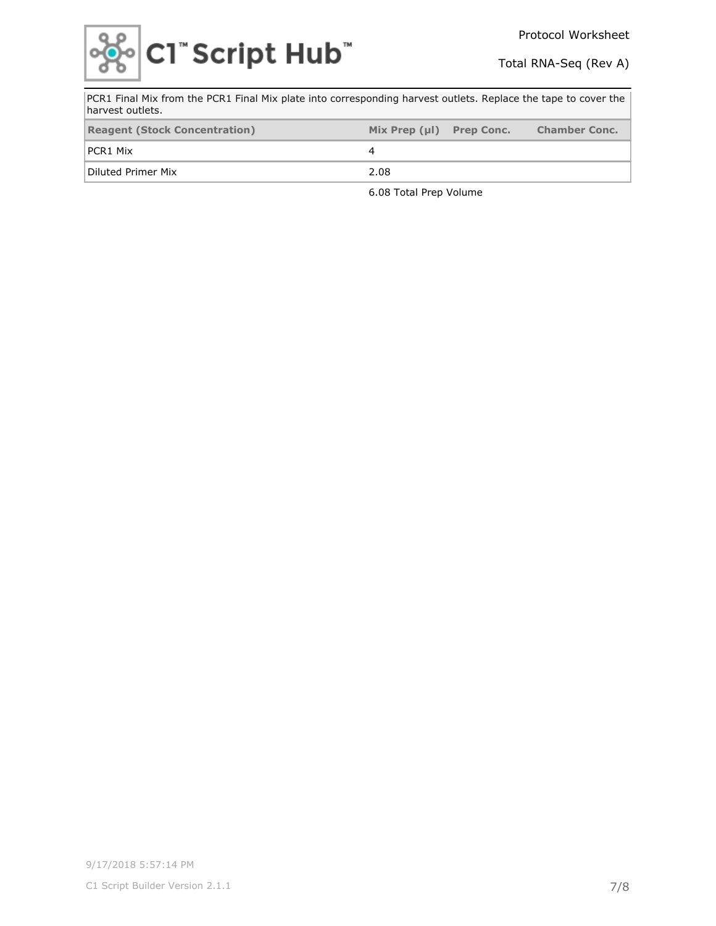

| PCR1 Final Mix from the PCR1 Final Mix plate into corresponding harvest outlets. Replace the tape to cover the<br>harvest outlets. |                    |                   |                      |  |  |  |  |
|------------------------------------------------------------------------------------------------------------------------------------|--------------------|-------------------|----------------------|--|--|--|--|
| <b>Reagent (Stock Concentration)</b>                                                                                               | Mix Prep $(\mu I)$ | <b>Prep Conc.</b> | <b>Chamber Conc.</b> |  |  |  |  |
| PCR1 Mix                                                                                                                           |                    |                   |                      |  |  |  |  |
| Diluted Primer Mix                                                                                                                 | 2.08               |                   |                      |  |  |  |  |

6.08 Total Prep Volume